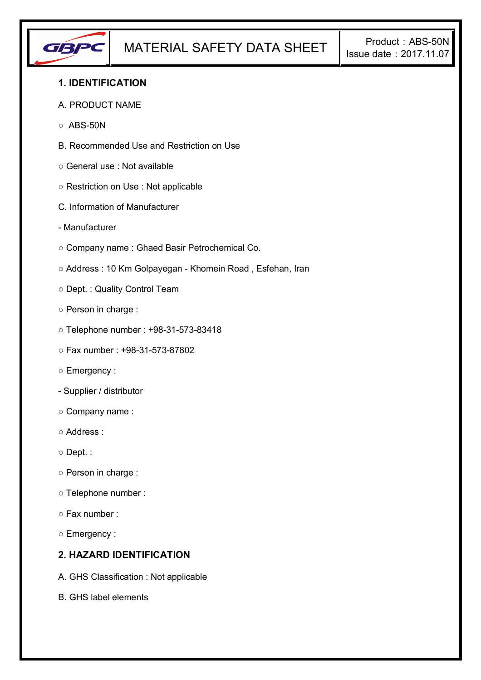

# **1. IDENTIFICATION**

#### A. PRODUCT NAME

- $\circ$  ABS-50N
- B. Recommended Use and Restriction on Use
- General use : Not available
- Restriction on Use : Not applicable
- C. Information of Manufacturer
- Manufacturer
- Company name : Ghaed Basir Petrochemical Co.
- Address : 10 Km Golpayegan Khomein Road , Esfehan, Iran
- Dept. : Quality Control Team
- Person in charge :
- Telephone number : +98-31-573-83418
- Fax number : +98-31-573-87802
- Emergency :
- Supplier / distributor
- Company name :
- Address :
- Dept. :
- Person in charge :
- Telephone number :
- Fax number :
- Emergency :

# **2. HAZARD IDENTIFICATION**

- A. GHS Classification : Not applicable
- B. GHS label elements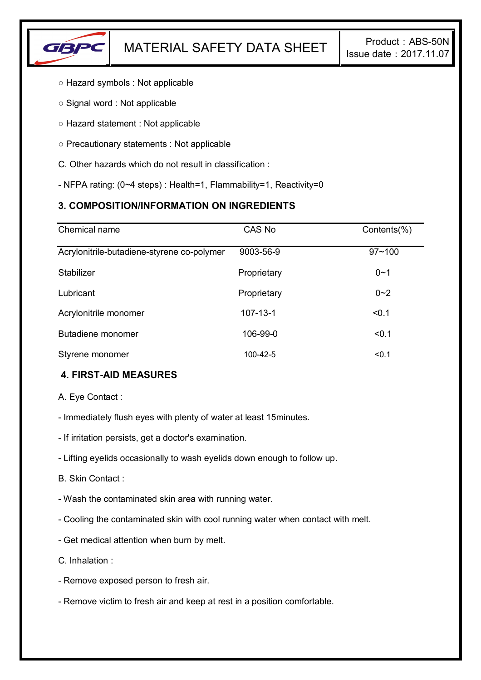

- Hazard symbols : Not applicable
- Signal word : Not applicable
- Hazard statement : Not applicable
- Precautionary statements : Not applicable
- C. Other hazards which do not result in classification :
- NFPA rating: (0~4 steps) : Health=1, Flammability=1, Reactivity=0

# **3. COMPOSITION/INFORMATION ON INGREDIENTS**

| Chemical name                              | CAS No         | Contents(%) |
|--------------------------------------------|----------------|-------------|
| Acrylonitrile-butadiene-styrene co-polymer | 9003-56-9      | $97 - 100$  |
| Stabilizer                                 | Proprietary    | $0 - 1$     |
| Lubricant                                  | Proprietary    | $0 - 2$     |
| Acrylonitrile monomer                      | $107 - 13 - 1$ | < 0.1       |
| Butadiene monomer                          | 106-99-0       | < 0.1       |
| Styrene monomer                            | 100-42-5       | < 0.1       |

# **4. FIRST-AID MEASURES**

A. Eye Contact :

- Immediately flush eyes with plenty of water at least 15minutes.
- If irritation persists, get a doctor's examination.
- Lifting eyelids occasionally to wash eyelids down enough to follow up.
- B. Skin Contact :
- Wash the contaminated skin area with running water.
- Cooling the contaminated skin with cool running water when contact with melt.
- Get medical attention when burn by melt.
- C. Inhalation :
- Remove exposed person to fresh air.
- Remove victim to fresh air and keep at rest in a position comfortable.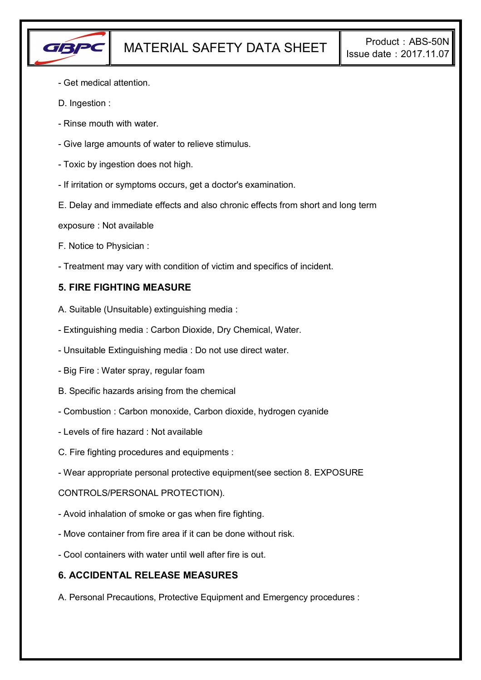

- Get medical attention.
- D. Ingestion :
- Rinse mouth with water.
- Give large amounts of water to relieve stimulus.
- Toxic by ingestion does not high.
- If irritation or symptoms occurs, get a doctor's examination.
- E. Delay and immediate effects and also chronic effects from short and long term
- exposure : Not available
- F. Notice to Physician :
- Treatment may vary with condition of victim and specifics of incident.

# **5. FIRE FIGHTING MEASURE**

- A. Suitable (Unsuitable) extinguishing media :
- Extinguishing media : Carbon Dioxide, Dry Chemical, Water.
- Unsuitable Extinguishing media : Do not use direct water.
- Big Fire : Water spray, regular foam
- B. Specific hazards arising from the chemical
- Combustion : Carbon monoxide, Carbon dioxide, hydrogen cyanide
- Levels of fire hazard : Not available
- C. Fire fighting procedures and equipments :
- Wear appropriate personal protective equipment(see section 8. EXPOSURE

### CONTROLS/PERSONAL PROTECTION).

- Avoid inhalation of smoke or gas when fire fighting.
- Move container from fire area if it can be done without risk.
- Cool containers with water until well after fire is out.

### **6. ACCIDENTAL RELEASE MEASURES**

A. Personal Precautions, Protective Equipment and Emergency procedures :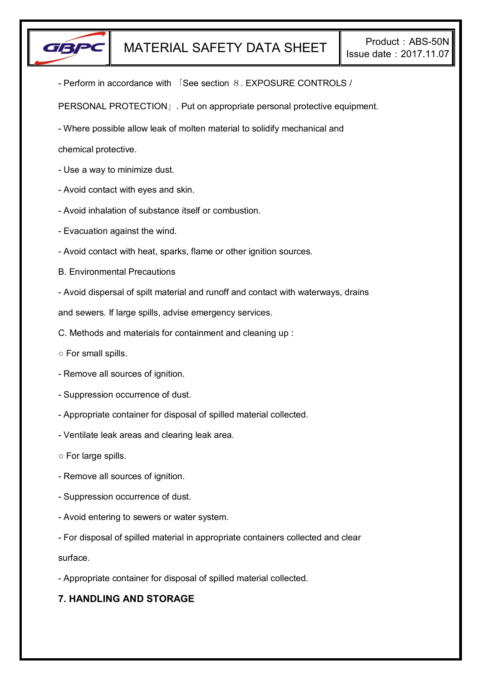

- Perform in accordance with 「See section 8. EXPOSURE CONTROLS /

PERSONAL PROTECTION」. Put on appropriate personal protective equipment.

- Where possible allow leak of molten material to solidify mechanical and

chemical protective.

- Use a way to minimize dust.
- Avoid contact with eyes and skin.
- Avoid inhalation of substance itself or combustion.
- Evacuation against the wind.
- Avoid contact with heat, sparks, flame or other ignition sources.
- B. Environmental Precautions
- Avoid dispersal of spilt material and runoff and contact with waterways, drains

and sewers. If large spills, advise emergency services.

- C. Methods and materials for containment and cleaning up :
- For small spills.
- Remove all sources of ignition.
- Suppression occurrence of dust.
- Appropriate container for disposal of spilled material collected.
- Ventilate leak areas and clearing leak area.
- For large spills.
- Remove all sources of ignition.
- Suppression occurrence of dust.
- Avoid entering to sewers or water system.
- For disposal of spilled material in appropriate containers collected and clear

surface.

- Appropriate container for disposal of spilled material collected.

# **7. HANDLING AND STORAGE**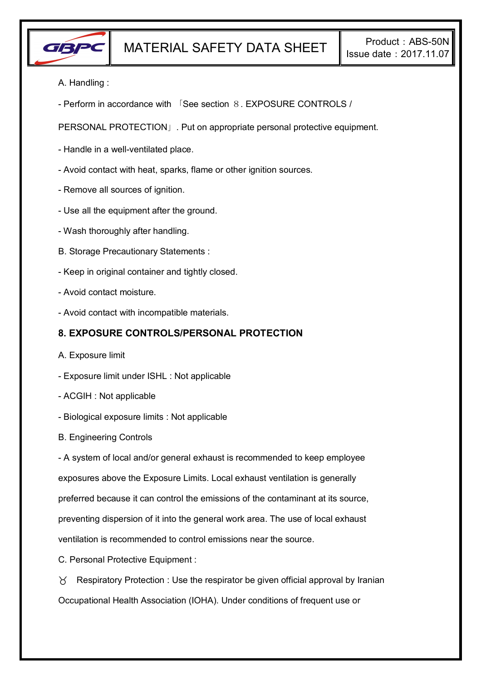

- A. Handling :
- Perform in accordance with 「See section 8. EXPOSURE CONTROLS /

PERSONAL PROTECTION」. Put on appropriate personal protective equipment.

- Handle in a well-ventilated place.
- Avoid contact with heat, sparks, flame or other ignition sources.
- Remove all sources of ignition.
- Use all the equipment after the ground.
- Wash thoroughly after handling.
- B. Storage Precautionary Statements :
- Keep in original container and tightly closed.
- Avoid contact moisture.
- Avoid contact with incompatible materials.

### **8. EXPOSURE CONTROLS/PERSONAL PROTECTION**

- A. Exposure limit
- Exposure limit under ISHL : Not applicable
- ACGIH : Not applicable
- Biological exposure limits : Not applicable
- B. Engineering Controls

- A system of local and/or general exhaust is recommended to keep employee exposures above the Exposure Limits. Local exhaust ventilation is generally preferred because it can control the emissions of the contaminant at its source, preventing dispersion of it into the general work area. The use of local exhaust ventilation is recommended to control emissions near the source.

C. Personal Protective Equipment :

 $\gamma$  Respiratory Protection : Use the respirator be given official approval by Iranian Occupational Health Association (IOHA). Under conditions of frequent use or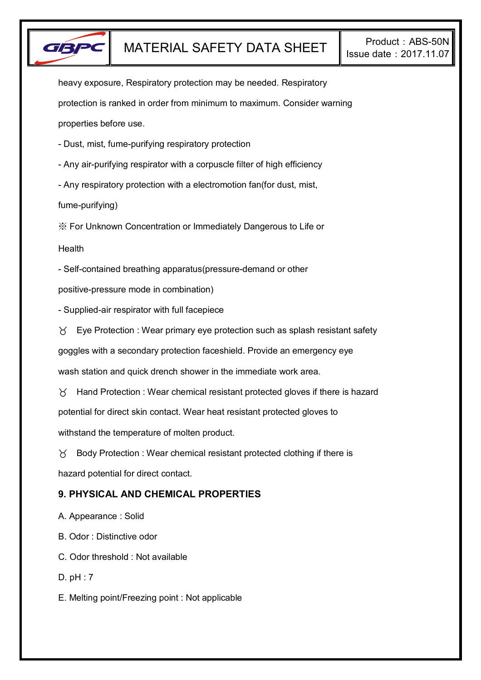

heavy exposure, Respiratory protection may be needed. Respiratory protection is ranked in order from minimum to maximum. Consider warning properties before use.

- Dust, mist, fume-purifying respiratory protection

- Any air-purifying respirator with a corpuscle filter of high efficiency

- Any respiratory protection with a electromotion fan(for dust, mist,

fume-purifying)

※ For Unknown Concentration or Immediately Dangerous to Life or

**Health** 

- Self-contained breathing apparatus(pressure-demand or other

positive-pressure mode in combination)

- Supplied-air respirator with full facepiece

 $\forall$  Eye Protection : Wear primary eye protection such as splash resistant safety

goggles with a secondary protection faceshield. Provide an emergency eye

wash station and quick drench shower in the immediate work area.

 $\gamma$  Hand Protection : Wear chemical resistant protected gloves if there is hazard potential for direct skin contact. Wear heat resistant protected gloves to withstand the temperature of molten product.

 $\gamma$  Body Protection : Wear chemical resistant protected clothing if there is hazard potential for direct contact.

# **9. PHYSICAL AND CHEMICAL PROPERTIES**

A. Appearance : Solid

B. Odor : Distinctive odor

C. Odor threshold : Not available

D. pH : 7

E. Melting point/Freezing point : Not applicable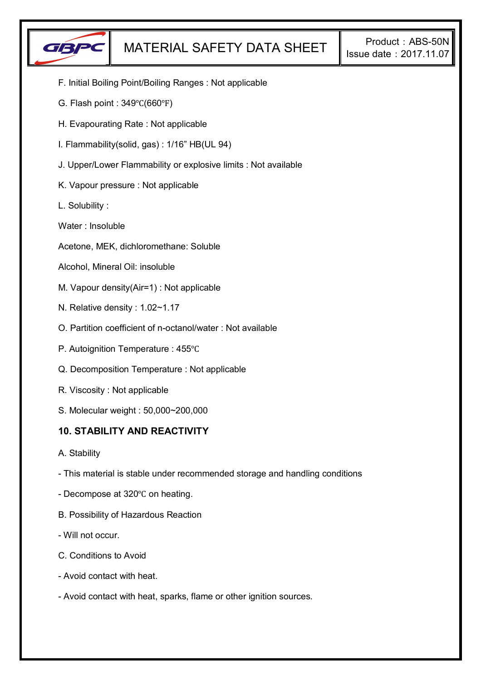

- F. Initial Boiling Point/Boiling Ranges : Not applicable
- G. Flash point : 349℃(660℉)
- H. Evapourating Rate : Not applicable
- I. Flammability(solid, gas) : 1/16" HB(UL 94)
- J. Upper/Lower Flammability or explosive limits : Not available
- K. Vapour pressure : Not applicable
- L. Solubility :
- Water : Insoluble
- Acetone, MEK, dichloromethane: Soluble
- Alcohol, Mineral Oil: insoluble
- M. Vapour density(Air=1) : Not applicable
- N. Relative density : 1.02~1.17
- O. Partition coefficient of n-octanol/water : Not available
- P. Autoignition Temperature : 455℃
- Q. Decomposition Temperature : Not applicable
- R. Viscosity : Not applicable
- S. Molecular weight : 50,000~200,000

### **10. STABILITY AND REACTIVITY**

- A. Stability
- This material is stable under recommended storage and handling conditions
- Decompose at 320℃ on heating.
- B. Possibility of Hazardous Reaction
- Will not occur.
- C. Conditions to Avoid
- Avoid contact with heat.
- Avoid contact with heat, sparks, flame or other ignition sources.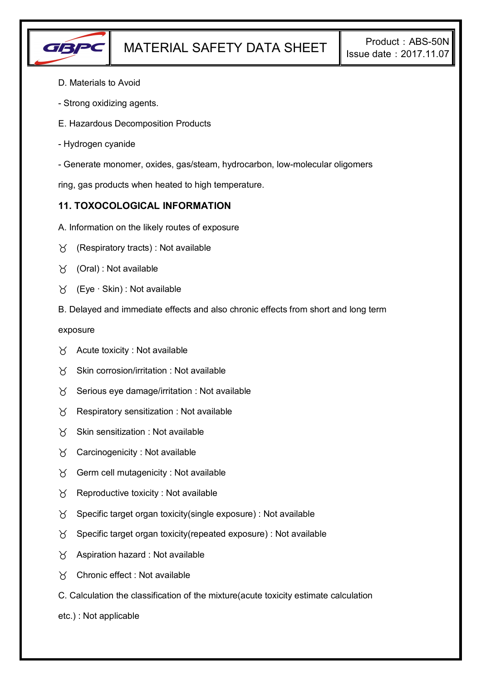

- D. Materials to Avoid
- Strong oxidizing agents.
- E. Hazardous Decomposition Products
- Hydrogen cyanide
- Generate monomer, oxides, gas/steam, hydrocarbon, low-molecular oligomers

ring, gas products when heated to high temperature.

# **11. TOXOCOLOGICAL INFORMATION**

- A. Information on the likely routes of exposure
- $\forall$  (Respiratory tracts) : Not available
- $\forall$  (Oral): Not available
- (Eye ∙ Skin) : Not available
- B. Delayed and immediate effects and also chronic effects from short and long term

exposure

- $\forall$  Acute toxicity : Not available
- $\gamma$  Skin corrosion/irritation : Not available
- $\gamma$  Serious eye damage/irritation : Not available
- $\gamma$  Respiratory sensitization : Not available
- $X$  Skin sensitization : Not available
- Carcinogenicity : Not available
- $\gamma$  Germ cell mutagenicity : Not available
- $\gamma$  Reproductive toxicity : Not available
- $\gamma$  Specific target organ toxicity(single exposure) : Not available
- $\gamma$  Specific target organ toxicity(repeated exposure) : Not available
- $\chi$  Aspiration hazard : Not available
- Chronic effect : Not available
- C. Calculation the classification of the mixture(acute toxicity estimate calculation
- etc.) : Not applicable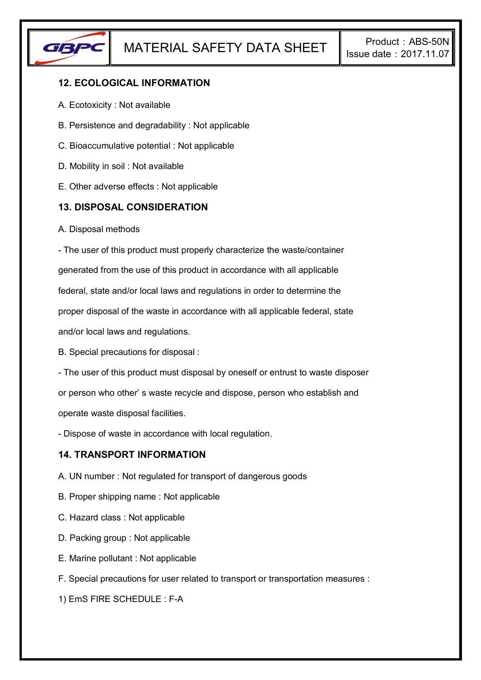

# **12. ECOLOGICAL INFORMATION**

- A. Ecotoxicity : Not available
- B. Persistence and degradability : Not applicable
- C. Bioaccumulative potential : Not applicable
- D. Mobility in soil : Not available
- E. Other adverse effects : Not applicable

# **13. DISPOSAL CONSIDERATION**

A. Disposal methods

- The user of this product must properly characterize the waste/container generated from the use of this product in accordance with all applicable federal, state and/or local laws and regulations in order to determine the proper disposal of the waste in accordance with all applicable federal, state and/or local laws and regulations.

B. Special precautions for disposal :

- The user of this product must disposal by oneself or entrust to waste disposer or person who other' s waste recycle and dispose, person who establish and operate waste disposal facilities.

- Dispose of waste in accordance with local regulation.

### **14. TRANSPORT INFORMATION**

- A. UN number : Not regulated for transport of dangerous goods
- B. Proper shipping name : Not applicable
- C. Hazard class : Not applicable
- D. Packing group : Not applicable
- E. Marine pollutant : Not applicable
- F. Special precautions for user related to transport or transportation measures :

1) EmS FIRE SCHEDULE : F-A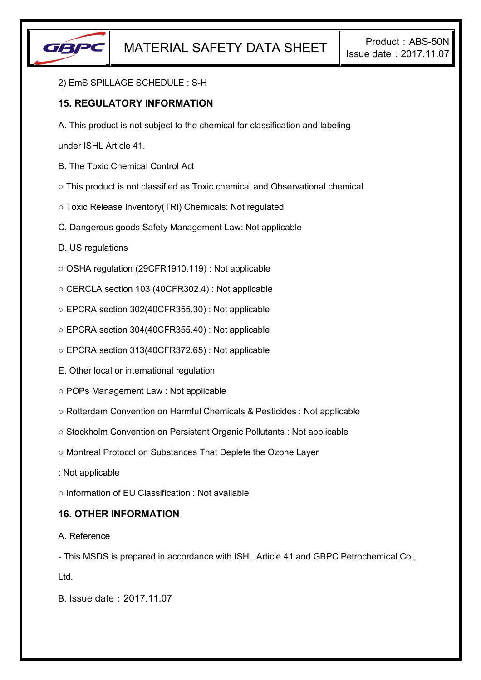

#### 2) EmS SPILLAGE SCHEDULE : S-H

# **15. REGULATORY INFORMATION**

A. This product is not subject to the chemical for classification and labeling

under ISHL Article 41.

- B. The Toxic Chemical Control Act
- This product is not classified as Toxic chemical and Observational chemical
- Toxic Release Inventory(TRI) Chemicals: Not regulated
- C. Dangerous goods Safety Management Law: Not applicable
- D. US regulations
- OSHA regulation (29CFR1910.119) : Not applicable
- CERCLA section 103 (40CFR302.4) : Not applicable
- EPCRA section 302(40CFR355.30) : Not applicable
- EPCRA section 304(40CFR355.40) : Not applicable
- EPCRA section 313(40CFR372.65) : Not applicable
- E. Other local or international regulation
- POPs Management Law : Not applicable
- Rotterdam Convention on Harmful Chemicals & Pesticides : Not applicable
- Stockholm Convention on Persistent Organic Pollutants : Not applicable
- Montreal Protocol on Substances That Deplete the Ozone Layer
- : Not applicable
- Information of EU Classification : Not available

### **16. OTHER INFORMATION**

#### A. Reference

- This MSDS is prepared in accordance with ISHL Article 41 and GBPC Petrochemical Co.,

Ltd.

B. Issue date:2017.11.07